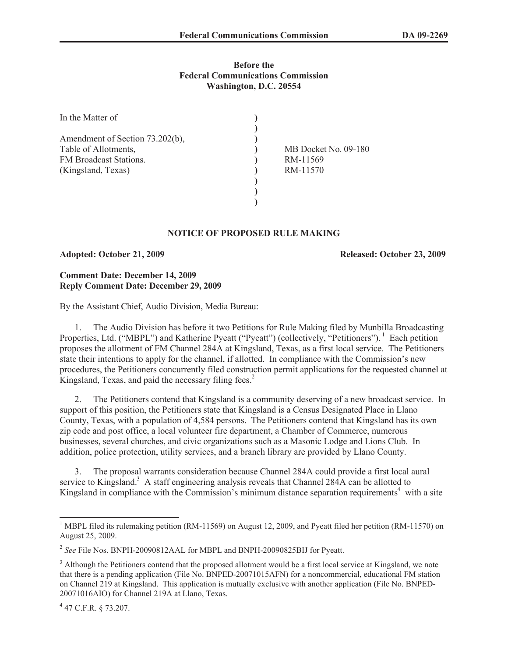### **Before the Federal Communications Commission Washington, D.C. 20554**

| In the Matter of                |                      |
|---------------------------------|----------------------|
|                                 |                      |
| Amendment of Section 73.202(b), |                      |
| Table of Allotments,            | MB Docket No. 09-180 |
| FM Broadcast Stations.          | RM-11569             |
| (Kingsland, Texas)              | RM-11570             |
|                                 |                      |
|                                 |                      |
|                                 |                      |

# **NOTICE OF PROPOSED RULE MAKING**

**Adopted: October 21, 2009 Released: October 23, 2009**

## **Comment Date: December 14, 2009 Reply Comment Date: December 29, 2009**

By the Assistant Chief, Audio Division, Media Bureau:

1. The Audio Division has before it two Petitions for Rule Making filed by Munbilla Broadcasting Properties, Ltd. ("MBPL") and Katherine Pyeatt ("Pyeatt") (collectively, "Petitioners"). <sup>1</sup> Each petition proposes the allotment of FM Channel 284A at Kingsland, Texas, as a first local service. The Petitioners state their intentions to apply for the channel, if allotted. In compliance with the Commission's new procedures, the Petitioners concurrently filed construction permit applications for the requested channel at Kingsland, Texas, and paid the necessary filing fees.<sup>2</sup>

2. The Petitioners contend that Kingsland is a community deserving of a new broadcast service. In support of this position, the Petitioners state that Kingsland is a Census Designated Place in Llano County, Texas, with a population of 4,584 persons. The Petitioners contend that Kingsland has its own zip code and post office, a local volunteer fire department, a Chamber of Commerce, numerous businesses, several churches, and civic organizations such as a Masonic Lodge and Lions Club. In addition, police protection, utility services, and a branch library are provided by Llano County.

3. The proposal warrants consideration because Channel 284A could provide a first local aural service to Kingsland.<sup>3</sup> A staff engineering analysis reveals that Channel 284A can be allotted to Kingsland in compliance with the Commission's minimum distance separation requirements<sup>4</sup> with a site

<sup>&</sup>lt;sup>1</sup> MBPL filed its rulemaking petition (RM-11569) on August 12, 2009, and Pyeatt filed her petition (RM-11570) on August 25, 2009.

<sup>2</sup> *See* File Nos. BNPH-20090812AAL for MBPL and BNPH-20090825BIJ for Pyeatt.

<sup>&</sup>lt;sup>3</sup> Although the Petitioners contend that the proposed allotment would be a first local service at Kingsland, we note that there is a pending application (File No. BNPED-20071015AFN) for a noncommercial, educational FM station on Channel 219 at Kingsland. This application is mutually exclusive with another application (File No. BNPED-20071016AIO) for Channel 219A at Llano, Texas.

<sup>4</sup> 47 C.F.R. § 73.207.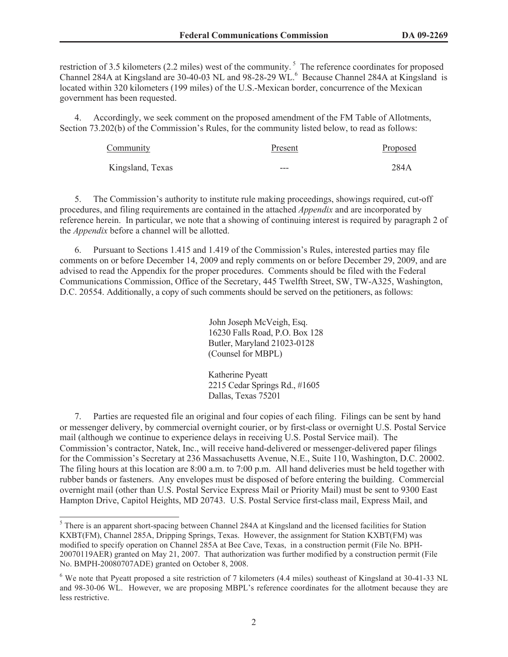restriction of 3.5 kilometers (2.2 miles) west of the community.<sup>5</sup> The reference coordinates for proposed Channel 284A at Kingsland are 30-40-03 NL and 98-28-29 WL.<sup>6</sup> Because Channel 284A at Kingsland is located within 320 kilometers (199 miles) of the U.S.-Mexican border, concurrence of the Mexican government has been requested.

4. Accordingly, we seek comment on the proposed amendment of the FM Table of Allotments, Section 73.202(b) of the Commission's Rules, for the community listed below, to read as follows:

| Community        | Present | Proposed |
|------------------|---------|----------|
| Kingsland, Texas | ---     | 284A     |

5. The Commission's authority to institute rule making proceedings, showings required, cut-off procedures, and filing requirements are contained in the attached *Appendix* and are incorporated by reference herein. In particular, we note that a showing of continuing interest is required by paragraph 2 of the *Appendix* before a channel will be allotted.

6. Pursuant to Sections 1.415 and 1.419 of the Commission's Rules, interested parties may file comments on or before December 14, 2009 and reply comments on or before December 29, 2009, and are advised to read the Appendix for the proper procedures. Comments should be filed with the Federal Communications Commission, Office of the Secretary, 445 Twelfth Street, SW, TW-A325, Washington, D.C. 20554. Additionally, a copy of such comments should be served on the petitioners, as follows:

> John Joseph McVeigh, Esq. 16230 Falls Road, P.O. Box 128 Butler, Maryland 21023-0128 (Counsel for MBPL)

Katherine Pyeatt 2215 Cedar Springs Rd., #1605 Dallas, Texas 75201

7. Parties are requested file an original and four copies of each filing. Filings can be sent by hand or messenger delivery, by commercial overnight courier, or by first-class or overnight U.S. Postal Service mail (although we continue to experience delays in receiving U.S. Postal Service mail). The Commission's contractor, Natek, Inc., will receive hand-delivered or messenger-delivered paper filings for the Commission's Secretary at 236 Massachusetts Avenue, N.E., Suite 110, Washington, D.C. 20002. The filing hours at this location are 8:00 a.m. to 7:00 p.m. All hand deliveries must be held together with rubber bands or fasteners. Any envelopes must be disposed of before entering the building. Commercial overnight mail (other than U.S. Postal Service Express Mail or Priority Mail) must be sent to 9300 East Hampton Drive, Capitol Heights, MD 20743. U.S. Postal Service first-class mail, Express Mail, and

<sup>&</sup>lt;sup>5</sup> There is an apparent short-spacing between Channel 284A at Kingsland and the licensed facilities for Station KXBT(FM), Channel 285A, Dripping Springs, Texas. However, the assignment for Station KXBT(FM) was modified to specify operation on Channel 285A at Bee Cave, Texas, in a construction permit (File No. BPH-20070119AER) granted on May 21, 2007. That authorization was further modified by a construction permit (File No. BMPH-20080707ADE) granted on October 8, 2008.

<sup>6</sup> We note that Pyeatt proposed a site restriction of 7 kilometers (4.4 miles) southeast of Kingsland at 30-41-33 NL and 98-30-06 WL. However, we are proposing MBPL's reference coordinates for the allotment because they are less restrictive.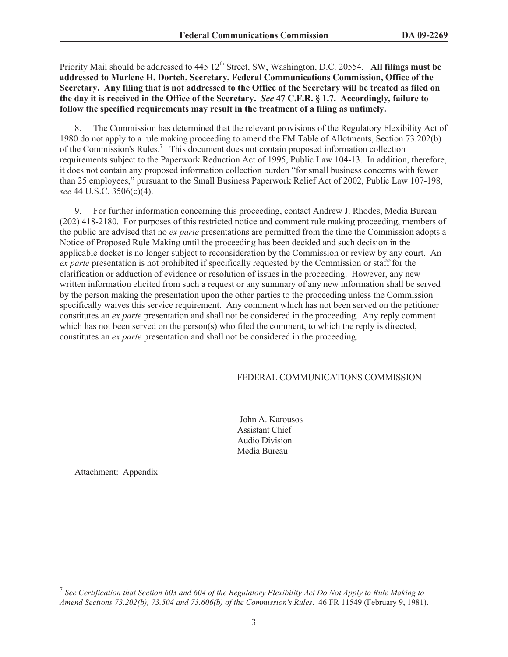Priority Mail should be addressed to 445 12<sup>th</sup> Street, SW, Washington, D.C. 20554. **All filings must be addressed to Marlene H. Dortch, Secretary, Federal Communications Commission, Office of the Secretary. Any filing that is not addressed to the Office of the Secretary will be treated as filed on the day it is received in the Office of the Secretary.** *See* **47 C.F.R. § 1.7. Accordingly, failure to follow the specified requirements may result in the treatment of a filing as untimely.** 

8. The Commission has determined that the relevant provisions of the Regulatory Flexibility Act of 1980 do not apply to a rule making proceeding to amend the FM Table of Allotments, Section 73.202(b) of the Commission's Rules.<sup>7</sup> This document does not contain proposed information collection requirements subject to the Paperwork Reduction Act of 1995, Public Law 104-13. In addition, therefore, it does not contain any proposed information collection burden "for small business concerns with fewer than 25 employees," pursuant to the Small Business Paperwork Relief Act of 2002, Public Law 107-198, *see* 44 U.S.C. 3506(c)(4).

9. For further information concerning this proceeding, contact Andrew J. Rhodes, Media Bureau (202) 418-2180. For purposes of this restricted notice and comment rule making proceeding, members of the public are advised that no *ex parte* presentations are permitted from the time the Commission adopts a Notice of Proposed Rule Making until the proceeding has been decided and such decision in the applicable docket is no longer subject to reconsideration by the Commission or review by any court. An *ex parte* presentation is not prohibited if specifically requested by the Commission or staff for the clarification or adduction of evidence or resolution of issues in the proceeding. However, any new written information elicited from such a request or any summary of any new information shall be served by the person making the presentation upon the other parties to the proceeding unless the Commission specifically waives this service requirement. Any comment which has not been served on the petitioner constitutes an *ex parte* presentation and shall not be considered in the proceeding. Any reply comment which has not been served on the person(s) who filed the comment, to which the reply is directed, constitutes an *ex parte* presentation and shall not be considered in the proceeding.

#### FEDERAL COMMUNICATIONS COMMISSION

John A. Karousos Assistant Chief Audio Division Media Bureau

Attachment: Appendix

<sup>&</sup>lt;sup>7</sup> See Certification that Section 603 and 604 of the Regulatory Flexibility Act Do Not Apply to Rule Making to *Amend Sections 73.202(b), 73.504 and 73.606(b) of the Commission's Rules*. 46 FR 11549 (February 9, 1981).